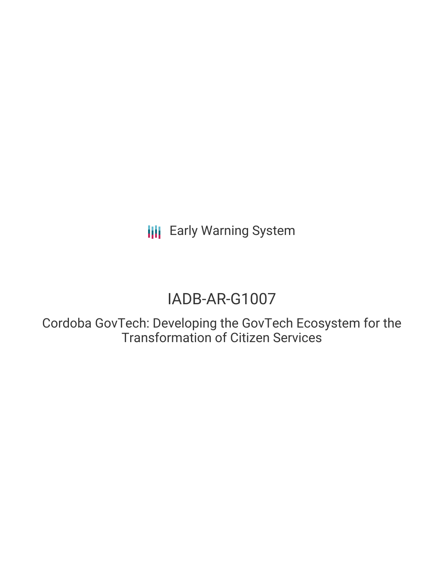**III** Early Warning System

# IADB-AR-G1007

Cordoba GovTech: Developing the GovTech Ecosystem for the Transformation of Citizen Services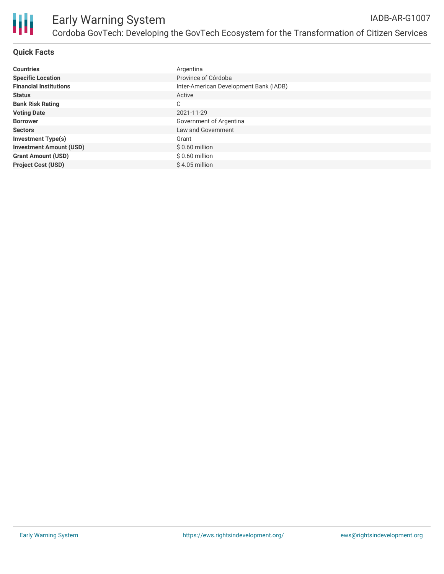

## **Quick Facts**

| <b>Countries</b>               | Argentina                              |
|--------------------------------|----------------------------------------|
| <b>Specific Location</b>       | Province of Córdoba                    |
| <b>Financial Institutions</b>  | Inter-American Development Bank (IADB) |
| <b>Status</b>                  | Active                                 |
| <b>Bank Risk Rating</b>        | C                                      |
| <b>Voting Date</b>             | 2021-11-29                             |
| <b>Borrower</b>                | Government of Argentina                |
| <b>Sectors</b>                 | Law and Government                     |
| <b>Investment Type(s)</b>      | Grant                                  |
| <b>Investment Amount (USD)</b> | $$0.60$ million                        |
| <b>Grant Amount (USD)</b>      | $$0.60$ million                        |
| <b>Project Cost (USD)</b>      | $$4.05$ million                        |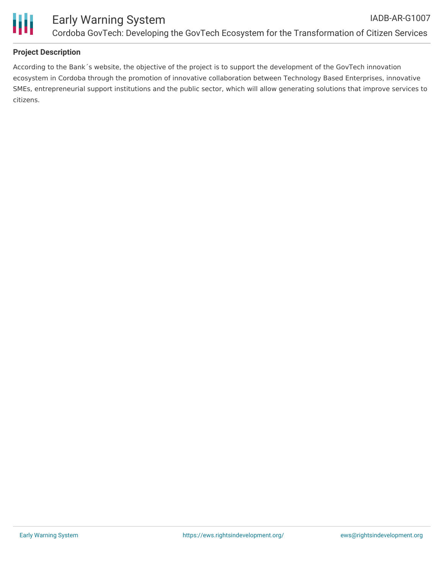

## **Project Description**

According to the Bank´s website, the objective of the project is to support the development of the GovTech innovation ecosystem in Cordoba through the promotion of innovative collaboration between Technology Based Enterprises, innovative SMEs, entrepreneurial support institutions and the public sector, which will allow generating solutions that improve services to citizens.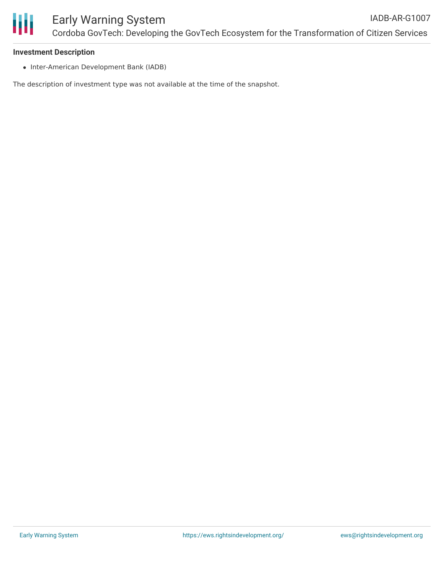

#### **Investment Description**

• Inter-American Development Bank (IADB)

The description of investment type was not available at the time of the snapshot.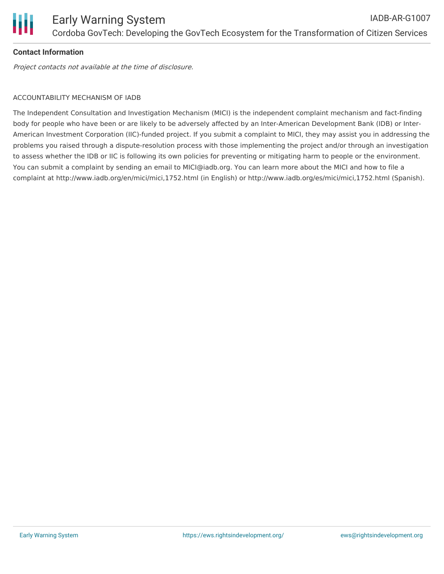

# **Contact Information**

Project contacts not available at the time of disclosure.

# ACCOUNTABILITY MECHANISM OF IADB

The Independent Consultation and Investigation Mechanism (MICI) is the independent complaint mechanism and fact-finding body for people who have been or are likely to be adversely affected by an Inter-American Development Bank (IDB) or Inter-American Investment Corporation (IIC)-funded project. If you submit a complaint to MICI, they may assist you in addressing the problems you raised through a dispute-resolution process with those implementing the project and/or through an investigation to assess whether the IDB or IIC is following its own policies for preventing or mitigating harm to people or the environment. You can submit a complaint by sending an email to MICI@iadb.org. You can learn more about the MICI and how to file a complaint at http://www.iadb.org/en/mici/mici,1752.html (in English) or http://www.iadb.org/es/mici/mici,1752.html (Spanish).